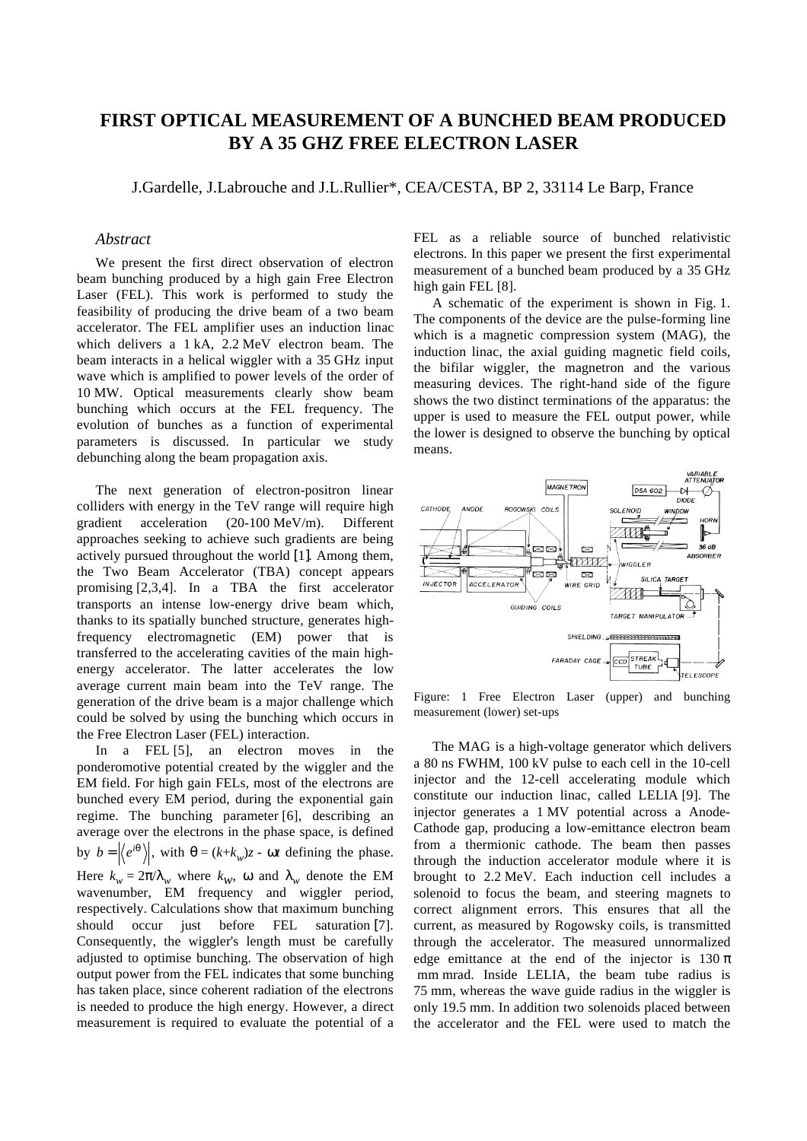## **FIRST OPTICAL MEASUREMENT OF A BUNCHED BEAM PRODUCED BY A 35 GHZ FREE ELECTRON LASER**

J.Gardelle, J.Labrouche and J.L.Rullier\*, CEA/CESTA, BP 2, 33114 Le Barp, France

## *Abstract*

We present the first direct observation of electron beam bunching produced by a high gain Free Electron Laser (FEL). This work is performed to study the feasibility of producing the drive beam of a two beam accelerator. The FEL amplifier uses an induction linac which delivers a 1 kA, 2.2 MeV electron beam. The beam interacts in a helical wiggler with a 35 GHz input wave which is amplified to power levels of the order of 10 MW. Optical measurements clearly show beam bunching which occurs at the FEL frequency. The evolution of bunches as a function of experimental parameters is discussed. In particular we study debunching along the beam propagation axis.

The next generation of electron-positron linear colliders with energy in the TeV range will require high gradient acceleration (20-100 MeV/m). Different approaches seeking to achieve such gradients are being actively pursued throughout the world [1]. Among them, the Two Beam Accelerator (TBA) concept appears promising [2,3,4]. In a TBA the first accelerator transports an intense low-energy drive beam which, thanks to its spatially bunched structure, generates highfrequency electromagnetic (EM) power that is transferred to the accelerating cavities of the main highenergy accelerator. The latter accelerates the low average current main beam into the TeV range. The generation of the drive beam is a major challenge which could be solved by using the bunching which occurs in the Free Electron Laser (FEL) interaction.

In a FEL [5], an electron moves in the ponderomotive potential created by the wiggler and the EM field. For high gain FELs, most of the electrons are bunched every EM period, during the exponential gain regime. The bunching parameter [6], describing an average over the electrons in the phase space, is defined by  $b = \langle e^{i\theta} \rangle$ , with  $\theta = (k + k_w)z$  -  $\omega t$  defining the phase. Here  $k_w = 2\pi/\lambda_w$  where  $k_w$ , ω and  $\lambda_w$  denote the EM wavenumber, EM frequency and wiggler period, respectively. Calculations show that maximum bunching should occur just before FEL saturation [7]. Consequently, the wiggler's length must be carefully adjusted to optimise bunching. The observation of high output power from the FEL indicates that some bunching has taken place, since coherent radiation of the electrons is needed to produce the high energy. However, a direct measurement is required to evaluate the potential of a FEL as a reliable source of bunched relativistic electrons. In this paper we present the first experimental measurement of a bunched beam produced by a 35 GHz high gain FEL [8].

A schematic of the experiment is shown in Fig. 1. The components of the device are the pulse-forming line which is a magnetic compression system (MAG), the induction linac, the axial guiding magnetic field coils, the bifilar wiggler, the magnetron and the various measuring devices. The right-hand side of the figure shows the two distinct terminations of the apparatus: the upper is used to measure the FEL output power, while the lower is designed to observe the bunching by optical means.



Figure: 1 Free Electron Laser (upper) and bunching measurement (lower) set-ups

The MAG is a high-voltage generator which delivers a 80 ns FWHM, 100 kV pulse to each cell in the 10-cell injector and the 12-cell accelerating module which constitute our induction linac, called LELIA [9]. The injector generates a 1 MV potential across a Anode-Cathode gap, producing a low-emittance electron beam from a thermionic cathode. The beam then passes through the induction accelerator module where it is brought to 2.2 MeV. Each induction cell includes a solenoid to focus the beam, and steering magnets to correct alignment errors. This ensures that all the current, as measured by Rogowsky coils, is transmitted through the accelerator. The measured unnormalized edge emittance at the end of the injector is  $130 \pi$  mm mrad. Inside LELIA, the beam tube radius is 75 mm, whereas the wave guide radius in the wiggler is only 19.5 mm. In addition two solenoids placed between the accelerator and the FEL were used to match the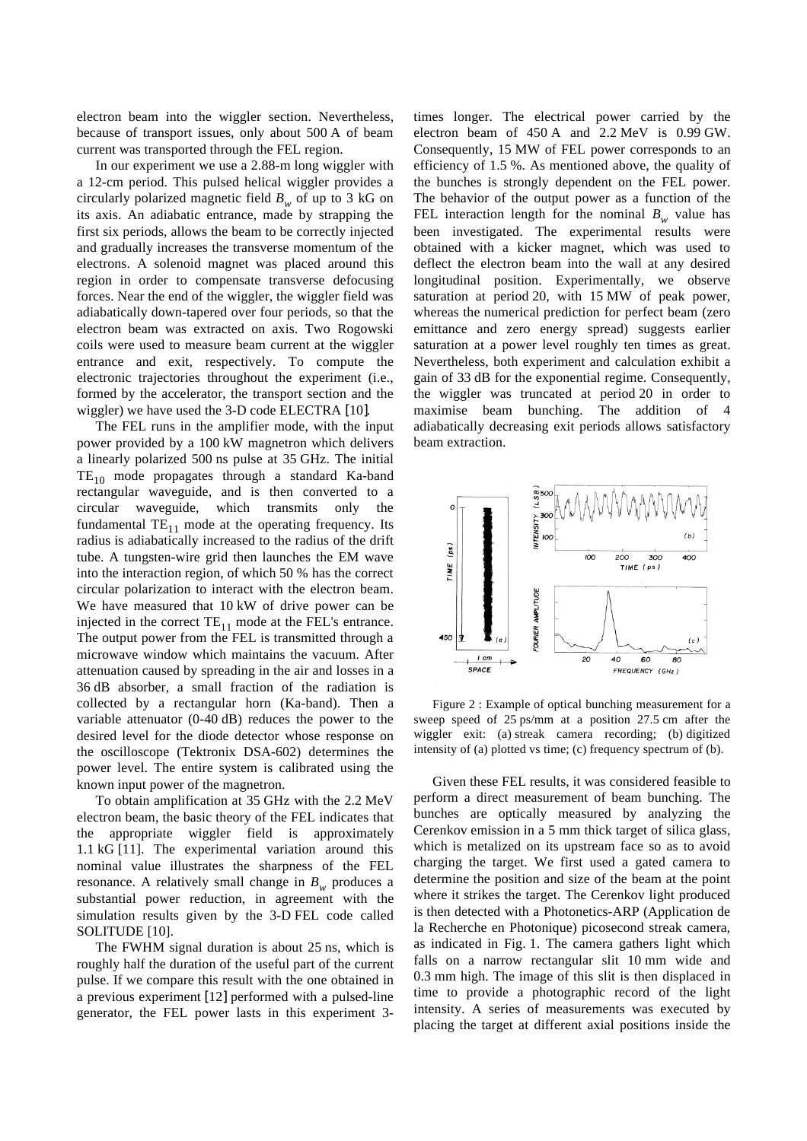electron beam into the wiggler section. Nevertheless, because of transport issues, only about 500 A of beam current was transported through the FEL region.

In our experiment we use a 2.88-m long wiggler with a 12-cm period. This pulsed helical wiggler provides a circularly polarized magnetic field  $B_w$  of up to 3 kG on its axis. An adiabatic entrance, made by strapping the first six periods, allows the beam to be correctly injected and gradually increases the transverse momentum of the electrons. A solenoid magnet was placed around this region in order to compensate transverse defocusing forces. Near the end of the wiggler, the wiggler field was adiabatically down-tapered over four periods, so that the electron beam was extracted on axis. Two Rogowski coils were used to measure beam current at the wiggler entrance and exit, respectively. To compute the electronic trajectories throughout the experiment (i.e., formed by the accelerator, the transport section and the wiggler) we have used the 3-D code ELECTRA [10].

The FEL runs in the amplifier mode, with the input power provided by a 100 kW magnetron which delivers a linearly polarized 500 ns pulse at 35 GHz. The initial  $TE_{10}$  mode propagates through a standard Ka-band rectangular waveguide, and is then converted to a circular waveguide, which transmits only the fundamental  $TE_{11}$  mode at the operating frequency. Its radius is adiabatically increased to the radius of the drift tube. A tungsten-wire grid then launches the EM wave into the interaction region, of which 50 % has the correct circular polarization to interact with the electron beam. We have measured that 10 kW of drive power can be injected in the correct  $TE_{11}$  mode at the FEL's entrance. The output power from the FEL is transmitted through a microwave window which maintains the vacuum. After attenuation caused by spreading in the air and losses in a 36 dB absorber, a small fraction of the radiation is collected by a rectangular horn (Ka-band). Then a variable attenuator (0-40 dB) reduces the power to the desired level for the diode detector whose response on the oscilloscope (Tektronix DSA-602) determines the power level. The entire system is calibrated using the known input power of the magnetron.

To obtain amplification at 35 GHz with the 2.2 MeV electron beam, the basic theory of the FEL indicates that the appropriate wiggler field is approximately 1.1 kG [11]. The experimental variation around this nominal value illustrates the sharpness of the FEL resonance. A relatively small change in  $B_w$  produces a substantial power reduction, in agreement with the simulation results given by the 3-D FEL code called SOLITUDE [10].

The FWHM signal duration is about 25 ns, which is roughly half the duration of the useful part of the current pulse. If we compare this result with the one obtained in a previous experiment [12] performed with a pulsed-line generator, the FEL power lasts in this experiment 3times longer. The electrical power carried by the electron beam of 450 A and 2.2 MeV is 0.99 GW. Consequently, 15 MW of FEL power corresponds to an efficiency of 1.5 %. As mentioned above, the quality of the bunches is strongly dependent on the FEL power. The behavior of the output power as a function of the FEL interaction length for the nominal  $B_w$  value has been investigated. The experimental results were obtained with a kicker magnet, which was used to deflect the electron beam into the wall at any desired longitudinal position. Experimentally, we observe saturation at period 20, with 15 MW of peak power, whereas the numerical prediction for perfect beam (zero emittance and zero energy spread) suggests earlier saturation at a power level roughly ten times as great. Nevertheless, both experiment and calculation exhibit a gain of 33 dB for the exponential regime. Consequently, the wiggler was truncated at period 20 in order to maximise beam bunching. The addition of 4 adiabatically decreasing exit periods allows satisfactory beam extraction.



Figure 2 : Example of optical bunching measurement for a sweep speed of 25 ps/mm at a position 27.5 cm after the wiggler exit: (a) streak camera recording; (b) digitized intensity of (a) plotted vs time; (c) frequency spectrum of (b).

Given these FEL results, it was considered feasible to perform a direct measurement of beam bunching. The bunches are optically measured by analyzing the Cerenkov emission in a 5 mm thick target of silica glass, which is metalized on its upstream face so as to avoid charging the target. We first used a gated camera to determine the position and size of the beam at the point where it strikes the target. The Cerenkov light produced is then detected with a Photonetics-ARP (Application de la Recherche en Photonique) picosecond streak camera, as indicated in Fig. 1. The camera gathers light which falls on a narrow rectangular slit 10 mm wide and 0.3 mm high. The image of this slit is then displaced in time to provide a photographic record of the light intensity. A series of measurements was executed by placing the target at different axial positions inside the